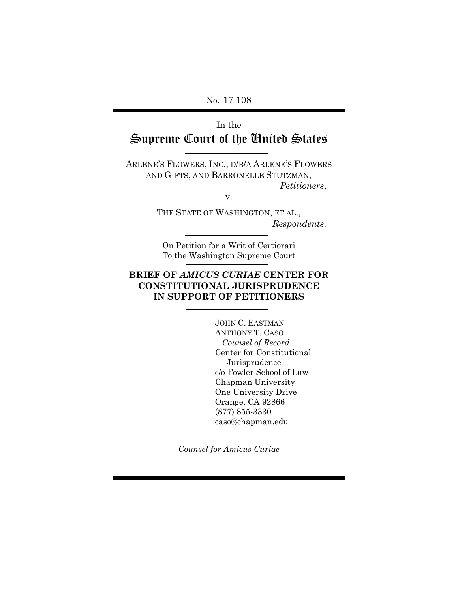No. 17-108

## In the Supreme Court of the United States

ARLENE'S FLOWERS, INC., D/B/A ARLENE'S FLOWERS AND GIFTS, AND BARRONELLE STUTZMAN, *Petitioners*,

v.

THE STATE OF WASHINGTON, ET AL., *Respondents.* 

On Petition for a Writ of Certiorari To the Washington Supreme Court

## **BRIEF OF** *AMICUS CURIAE* **CENTER FOR CONSTITUTIONAL JURISPRUDENCE IN SUPPORT OF PETITIONERS**

JOHN C. EASTMAN ANTHONY T. CASO  *Counsel of Record* Center for Constitutional Jurisprudence c/o Fowler School of Law Chapman University One University Drive Orange, CA 92866 (877) 855-3330 caso@chapman.edu

*Counsel for Amicus Curiae*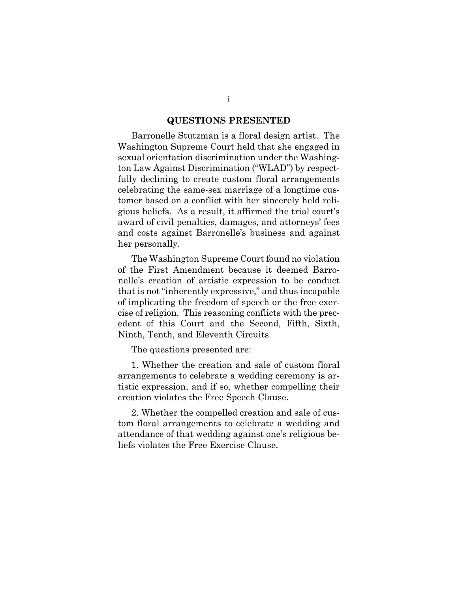#### **QUESTIONS PRESENTED**

Barronelle Stutzman is a floral design artist. The Washington Supreme Court held that she engaged in sexual orientation discrimination under the Washington Law Against Discrimination ("WLAD") by respectfully declining to create custom floral arrangements celebrating the same-sex marriage of a longtime customer based on a conflict with her sincerely held religious beliefs. As a result, it affirmed the trial court's award of civil penalties, damages, and attorneys' fees and costs against Barronelle's business and against her personally.

The Washington Supreme Court found no violation of the First Amendment because it deemed Barronelle's creation of artistic expression to be conduct that is not "inherently expressive," and thus incapable of implicating the freedom of speech or the free exercise of religion. This reasoning conflicts with the precedent of this Court and the Second, Fifth, Sixth, Ninth, Tenth, and Eleventh Circuits.

The questions presented are:

1. Whether the creation and sale of custom floral arrangements to celebrate a wedding ceremony is artistic expression, and if so, whether compelling their creation violates the Free Speech Clause.

2. Whether the compelled creation and sale of custom floral arrangements to celebrate a wedding and attendance of that wedding against one's religious beliefs violates the Free Exercise Clause.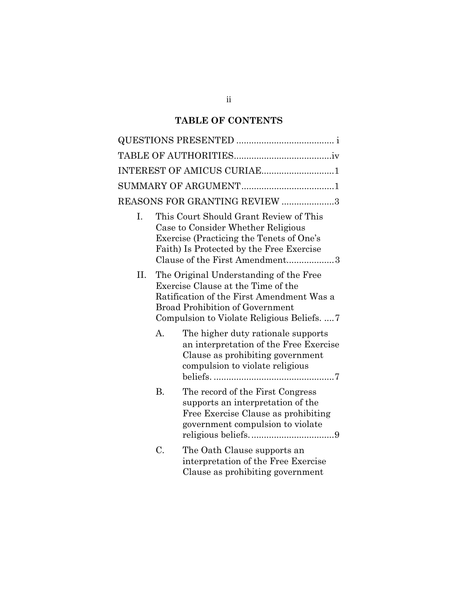## **TABLE OF CONTENTS**

|    |                                                                                                                                                                                                                 | INTEREST OF AMICUS CURIAE1                                                                                                                          |  |  |
|----|-----------------------------------------------------------------------------------------------------------------------------------------------------------------------------------------------------------------|-----------------------------------------------------------------------------------------------------------------------------------------------------|--|--|
|    |                                                                                                                                                                                                                 |                                                                                                                                                     |  |  |
|    |                                                                                                                                                                                                                 | REASONS FOR GRANTING REVIEW 3                                                                                                                       |  |  |
| L. | This Court Should Grant Review of This<br>Case to Consider Whether Religious<br>Exercise (Practicing the Tenets of One's<br>Faith) Is Protected by the Free Exercise<br>Clause of the First Amendment3          |                                                                                                                                                     |  |  |
| П. | The Original Understanding of the Free<br>Exercise Clause at the Time of the<br>Ratification of the First Amendment Was a<br><b>Broad Prohibition of Government</b><br>Compulsion to Violate Religious Beliefs7 |                                                                                                                                                     |  |  |
|    | $\mathbf{A}$                                                                                                                                                                                                    | The higher duty rationale supports<br>an interpretation of the Free Exercise<br>Clause as prohibiting government<br>compulsion to violate religious |  |  |
|    | <b>B.</b>                                                                                                                                                                                                       | The record of the First Congress<br>supports an interpretation of the<br>Free Exercise Clause as prohibiting<br>government compulsion to violate    |  |  |
|    | C.                                                                                                                                                                                                              | The Oath Clause supports an<br>interpretation of the Free Exercise<br>Clause as prohibiting government                                              |  |  |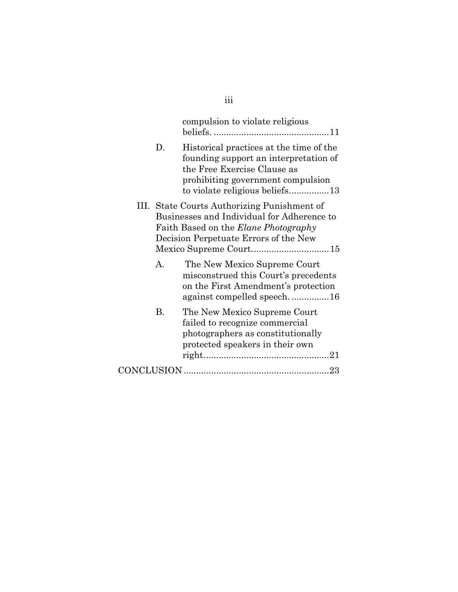|             | compulsion to violate religious                                                                                                                                                        |  |
|-------------|----------------------------------------------------------------------------------------------------------------------------------------------------------------------------------------|--|
| D.          | Historical practices at the time of the<br>founding support an interpretation of<br>the Free Exercise Clause as<br>prohibiting government compulsion<br>to violate religious beliefs13 |  |
|             | III. State Courts Authorizing Punishment of<br>Businesses and Individual for Adherence to<br>Faith Based on the <i>Elane Photography</i><br>Decision Perpetuate Errors of the New      |  |
| $A_{\cdot}$ | The New Mexico Supreme Court<br>misconstrued this Court's precedents<br>on the First Amendment's protection<br>against compelled speech. 16                                            |  |
| В.          | The New Mexico Supreme Court<br>failed to recognize commercial<br>photographers as constitutionally<br>protected speakers in their own                                                 |  |
|             |                                                                                                                                                                                        |  |

# iii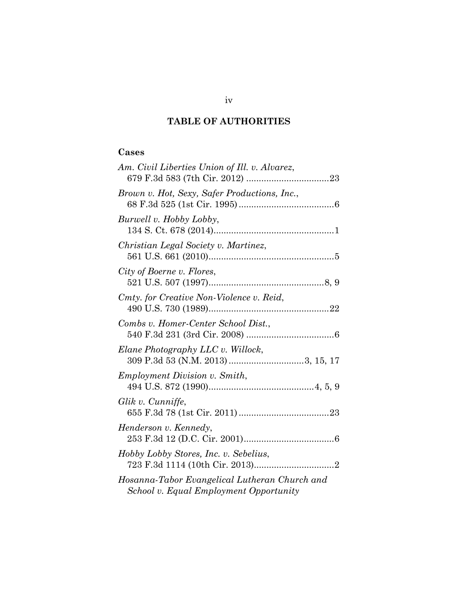## **TABLE OF AUTHORITIES**

## **Cases**

| Am. Civil Liberties Union of Ill. v. Alvarez,                                           |
|-----------------------------------------------------------------------------------------|
| Brown v. Hot, Sexy, Safer Productions, Inc.,                                            |
| Burwell v. Hobby Lobby,                                                                 |
| Christian Legal Society v. Martinez,                                                    |
| City of Boerne v. Flores,                                                               |
| Cmty. for Creative Non-Violence v. Reid,                                                |
| Combs v. Homer-Center School Dist.,                                                     |
| Elane Photography LLC v. Willock,<br>309 P.3d 53 (N.M. 2013) 3, 15, 17                  |
| Employment Division v. Smith,                                                           |
| Glik v. Cunniffe,                                                                       |
| Henderson v. Kennedy,                                                                   |
| Hobby Lobby Stores, Inc. v. Sebelius,                                                   |
| Hosanna-Tabor Evangelical Lutheran Church and<br>School v. Equal Employment Opportunity |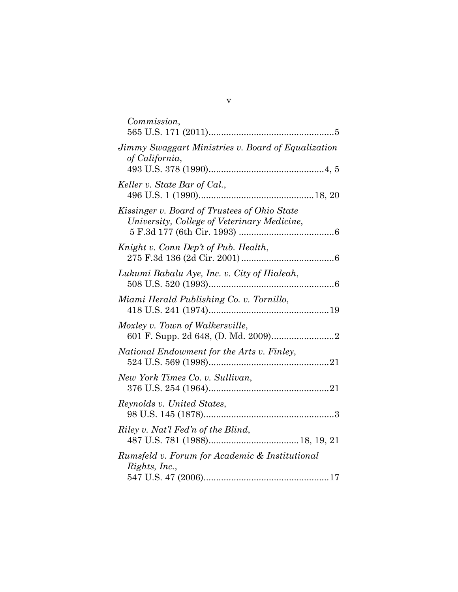| Commission,                          |  |                                                                                             |  |
|--------------------------------------|--|---------------------------------------------------------------------------------------------|--|
| of California,                       |  | Jimmy Swaggart Ministries v. Board of Equalization                                          |  |
| Keller v. State Bar of Cal.,         |  |                                                                                             |  |
|                                      |  | Kissinger v. Board of Trustees of Ohio State<br>University, College of Veterinary Medicine, |  |
| Knight v. Conn Dep't of Pub. Health, |  |                                                                                             |  |
|                                      |  | Lukumi Babalu Aye, Inc. v. City of Hialeah,                                                 |  |
|                                      |  | Miami Herald Publishing Co. v. Tornillo,                                                    |  |
| Moxley v. Town of Walkersville,      |  |                                                                                             |  |
|                                      |  | National Endowment for the Arts v. Finley,                                                  |  |
| New York Times Co. v. Sullivan,      |  |                                                                                             |  |
| Reynolds v. United States,           |  |                                                                                             |  |
| Riley v. Nat'l Fed'n of the Blind,   |  |                                                                                             |  |
| Rights, Inc.,                        |  | Rumsfeld v. Forum for Academic & Institutional                                              |  |
|                                      |  |                                                                                             |  |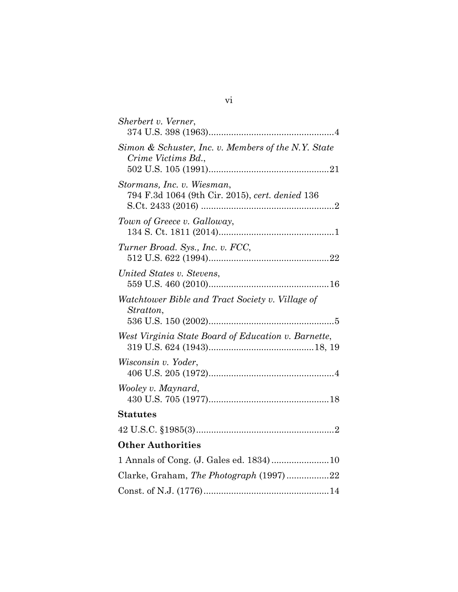| Sherbert v. Verner,                                                           |
|-------------------------------------------------------------------------------|
| Simon & Schuster, Inc. v. Members of the N.Y. State<br>Crime Victims Bd.,     |
| Stormans, Inc. v. Wiesman,<br>794 F.3d 1064 (9th Cir. 2015), cert. denied 136 |
| Town of Greece v. Galloway,                                                   |
| Turner Broad. Sys., Inc. v. FCC,                                              |
| United States v. Stevens,                                                     |
| Watchtower Bible and Tract Society v. Village of<br>Stratton,                 |
| West Virginia State Board of Education v. Barnette,                           |
| Wisconsin v. Yoder,                                                           |
| Wooley v. Maynard,                                                            |
| <b>Statutes</b>                                                               |
|                                                                               |
| <b>Other Authorities</b>                                                      |
|                                                                               |
| Clarke, Graham, The Photograph (1997)22                                       |
|                                                                               |

# vi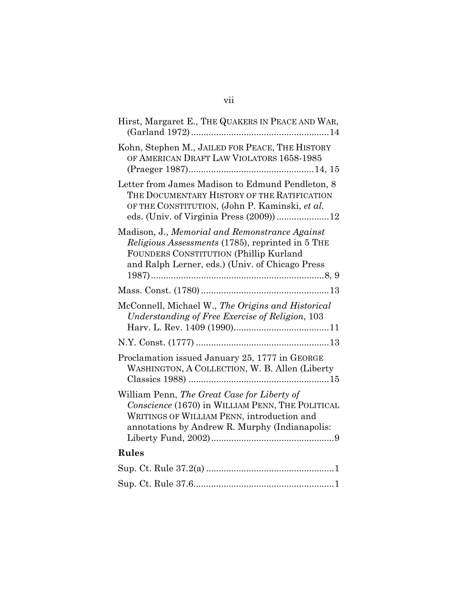| Hirst, Margaret E., THE QUAKERS IN PEACE AND WAR,                                                                                                                                               |
|-------------------------------------------------------------------------------------------------------------------------------------------------------------------------------------------------|
| Kohn, Stephen M., JAILED FOR PEACE, THE HISTORY<br>OF AMERICAN DRAFT LAW VIOLATORS 1658-1985                                                                                                    |
| Letter from James Madison to Edmund Pendleton, 8<br>THE DOCUMENTARY HISTORY OF THE RATIFICATION<br>OF THE CONSTITUTION, (John P. Kaminski, et al.<br>eds. (Univ. of Virginia Press (2009))12    |
| Madison, J., Memorial and Remonstrance Against<br>Religious Assessments (1785), reprinted in 5 THE<br>FOUNDERS CONSTITUTION (Phillip Kurland<br>and Ralph Lerner, eds.) (Univ. of Chicago Press |
|                                                                                                                                                                                                 |
| McConnell, Michael W., The Origins and Historical<br>Understanding of Free Exercise of Religion, 103                                                                                            |
|                                                                                                                                                                                                 |
| Proclamation issued January 25, 1777 in GEORGE<br>WASHINGTON, A COLLECTION, W. B. Allen (Liberty                                                                                                |
| William Penn, The Great Case for Liberty of<br>Conscience (1670) in WILLIAM PENN, THE POLITICAL<br>WRITINGS OF WILLIAM PENN, introduction and<br>annotations by Andrew R. Murphy (Indianapolis: |
| Rules                                                                                                                                                                                           |
|                                                                                                                                                                                                 |
|                                                                                                                                                                                                 |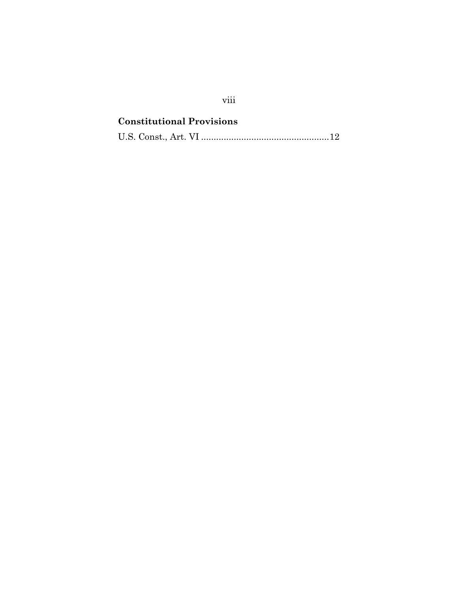# **Constitutional Provisions** U.S. Const., Art. VI ................................................... 12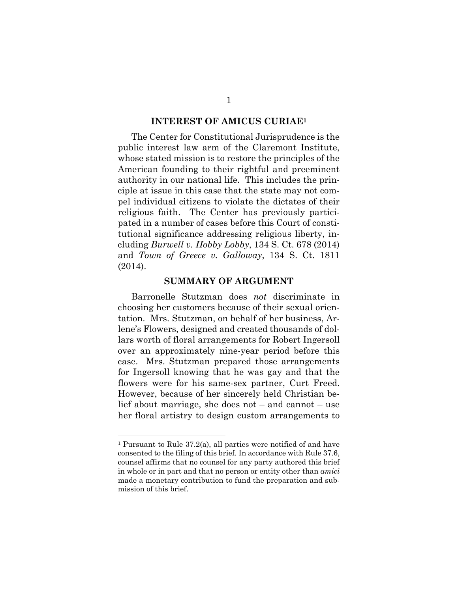#### **INTEREST OF AMICUS CURIAE1**

The Center for Constitutional Jurisprudence is the public interest law arm of the Claremont Institute, whose stated mission is to restore the principles of the American founding to their rightful and preeminent authority in our national life. This includes the principle at issue in this case that the state may not compel individual citizens to violate the dictates of their religious faith. The Center has previously participated in a number of cases before this Court of constitutional significance addressing religious liberty, including *Burwell v. Hobby Lobby*, 134 S. Ct. 678 (2014) and *Town of Greece v. Galloway*, 134 S. Ct. 1811 (2014).

#### **SUMMARY OF ARGUMENT**

Barronelle Stutzman does *not* discriminate in choosing her customers because of their sexual orientation. Mrs. Stutzman, on behalf of her business, Arlene's Flowers, designed and created thousands of dollars worth of floral arrangements for Robert Ingersoll over an approximately nine-year period before this case. Mrs. Stutzman prepared those arrangements for Ingersoll knowing that he was gay and that the flowers were for his same-sex partner, Curt Freed. However, because of her sincerely held Christian belief about marriage, she does not – and cannot – use her floral artistry to design custom arrangements to

 $\overline{a}$ 

<sup>1</sup> Pursuant to Rule 37.2(a), all parties were notified of and have consented to the filing of this brief. In accordance with Rule 37.6, counsel affirms that no counsel for any party authored this brief in whole or in part and that no person or entity other than *amici* made a monetary contribution to fund the preparation and submission of this brief.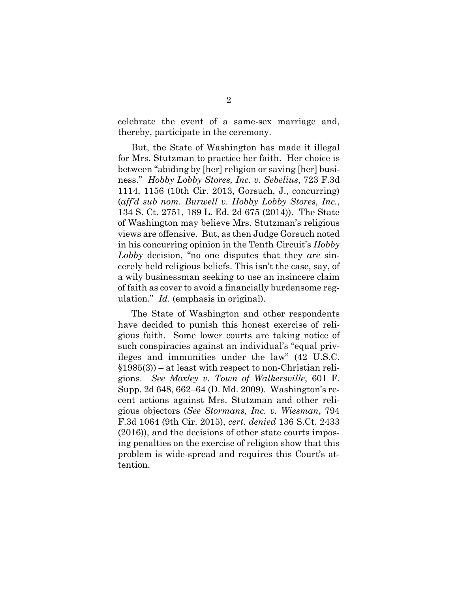celebrate the event of a same-sex marriage and, thereby, participate in the ceremony.

But, the State of Washington has made it illegal for Mrs. Stutzman to practice her faith. Her choice is between "abiding by [her] religion or saving [her] business." *Hobby Lobby Stores, Inc. v. Sebelius*, 723 F.3d 1114, 1156 (10th Cir. 2013, Gorsuch, J., concurring) (*aff'd sub nom. Burwell v. Hobby Lobby Stores, Inc.*, 134 S. Ct. 2751, 189 L. Ed. 2d 675 (2014)). The State of Washington may believe Mrs. Stutzman's religious views are offensive. But, as then Judge Gorsuch noted in his concurring opinion in the Tenth Circuit's *Hobby Lobby* decision, "no one disputes that they *are* sincerely held religious beliefs. This isn't the case, say, of a wily businessman seeking to use an insincere claim of faith as cover to avoid a financially burdensome regulation." *Id*. (emphasis in original).

The State of Washington and other respondents have decided to punish this honest exercise of religious faith. Some lower courts are taking notice of such conspiracies against an individual's "equal privileges and immunities under the law" (42 U.S.C.  $$1985(3)$  – at least with respect to non-Christian religions. *See Moxley v. Town of Walkersville*, 601 F. Supp. 2d 648, 662–64 (D. Md. 2009). Washington's recent actions against Mrs. Stutzman and other religious objectors (*See Stormans, Inc. v. Wiesman*, 794 F.3d 1064 (9th Cir. 2015), *cert. denied* 136 S.Ct. 2433 (2016)), and the decisions of other state courts imposing penalties on the exercise of religion show that this problem is wide-spread and requires this Court's attention.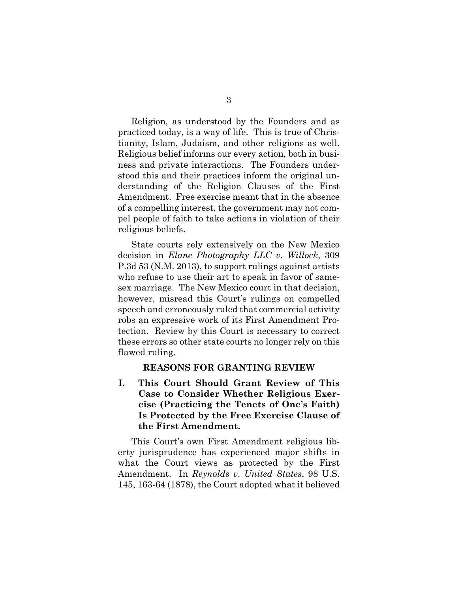Religion, as understood by the Founders and as practiced today, is a way of life. This is true of Christianity, Islam, Judaism, and other religions as well. Religious belief informs our every action, both in business and private interactions. The Founders understood this and their practices inform the original understanding of the Religion Clauses of the First Amendment. Free exercise meant that in the absence of a compelling interest, the government may not compel people of faith to take actions in violation of their religious beliefs.

State courts rely extensively on the New Mexico decision in *Elane Photography LLC v. Willock*, 309 P.3d 53 (N.M. 2013), to support rulings against artists who refuse to use their art to speak in favor of samesex marriage. The New Mexico court in that decision, however, misread this Court's rulings on compelled speech and erroneously ruled that commercial activity robs an expressive work of its First Amendment Protection. Review by this Court is necessary to correct these errors so other state courts no longer rely on this flawed ruling.

#### **REASONS FOR GRANTING REVIEW**

**I. This Court Should Grant Review of This Case to Consider Whether Religious Exercise (Practicing the Tenets of One's Faith) Is Protected by the Free Exercise Clause of the First Amendment.** 

This Court's own First Amendment religious liberty jurisprudence has experienced major shifts in what the Court views as protected by the First Amendment. In *Reynolds v. United States*, 98 U.S. 145, 163-64 (1878), the Court adopted what it believed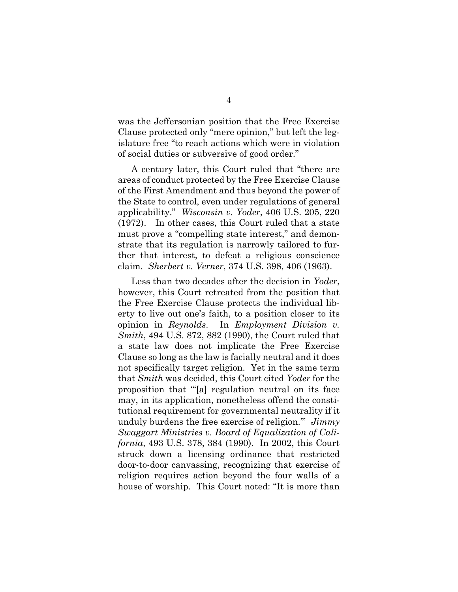was the Jeffersonian position that the Free Exercise Clause protected only "mere opinion," but left the legislature free "to reach actions which were in violation of social duties or subversive of good order."

A century later, this Court ruled that "there are areas of conduct protected by the Free Exercise Clause of the First Amendment and thus beyond the power of the State to control, even under regulations of general applicability." *Wisconsin v. Yoder*, 406 U.S. 205, 220 (1972). In other cases, this Court ruled that a state must prove a "compelling state interest," and demonstrate that its regulation is narrowly tailored to further that interest, to defeat a religious conscience claim. *Sherbert v. Verner*, 374 U.S. 398, 406 (1963).

Less than two decades after the decision in *Yoder*, however, this Court retreated from the position that the Free Exercise Clause protects the individual liberty to live out one's faith, to a position closer to its opinion in *Reynolds*. In *Employment Division v. Smith*, 494 U.S. 872, 882 (1990), the Court ruled that a state law does not implicate the Free Exercise Clause so long as the law is facially neutral and it does not specifically target religion. Yet in the same term that *Smith* was decided, this Court cited *Yoder* for the proposition that "'[a] regulation neutral on its face may, in its application, nonetheless offend the constitutional requirement for governmental neutrality if it unduly burdens the free exercise of religion.'" *Jimmy Swaggart Ministries v. Board of Equalization of California*, 493 U.S. 378, 384 (1990). In 2002, this Court struck down a licensing ordinance that restricted door-to-door canvassing, recognizing that exercise of religion requires action beyond the four walls of a house of worship. This Court noted: "It is more than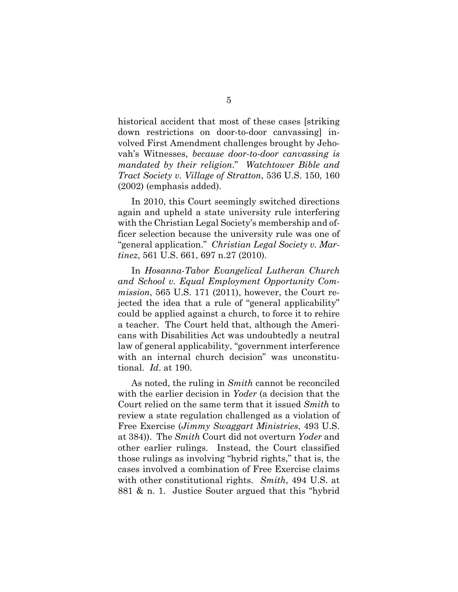historical accident that most of these cases [striking down restrictions on door-to-door canvassing] involved First Amendment challenges brought by Jehovah's Witnesses, *because door-to-door canvassing is mandated by their religion*." *Watchtower Bible and Tract Society v. Village of Stratton*, 536 U.S. 150, 160 (2002) (emphasis added).

In 2010, this Court seemingly switched directions again and upheld a state university rule interfering with the Christian Legal Society's membership and officer selection because the university rule was one of "general application." *Christian Legal Society v. Martinez*, 561 U.S. 661, 697 n.27 (2010).

In *Hosanna-Tabor Evangelical Lutheran Church and School v. Equal Employment Opportunity Commission*, 565 U.S. 171 (2011), however, the Court rejected the idea that a rule of "general applicability" could be applied against a church, to force it to rehire a teacher. The Court held that, although the Americans with Disabilities Act was undoubtedly a neutral law of general applicability, "government interference with an internal church decision" was unconstitutional. *Id*. at 190.

As noted, the ruling in *Smith* cannot be reconciled with the earlier decision in *Yoder* (a decision that the Court relied on the same term that it issued *Smith* to review a state regulation challenged as a violation of Free Exercise (*Jimmy Swaggart Ministries*, 493 U.S. at 384)). The *Smith* Court did not overturn *Yoder* and other earlier rulings. Instead, the Court classified those rulings as involving "hybrid rights," that is, the cases involved a combination of Free Exercise claims with other constitutional rights. *Smith*, 494 U.S. at 881 & n. 1. Justice Souter argued that this "hybrid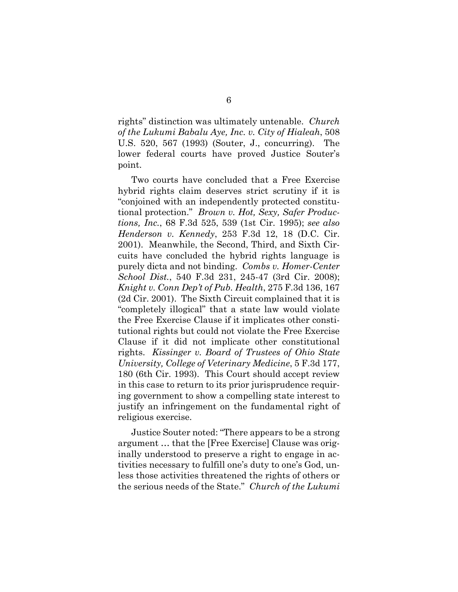rights" distinction was ultimately untenable. *Church of the Lukumi Babalu Aye, Inc. v. City of Hialeah*, 508 U.S. 520, 567 (1993) (Souter, J., concurring). The lower federal courts have proved Justice Souter's point.

Two courts have concluded that a Free Exercise hybrid rights claim deserves strict scrutiny if it is "conjoined with an independently protected constitutional protection." *Brown v. Hot, Sexy, Safer Productions, Inc.*, 68 F.3d 525, 539 (1st Cir. 1995); *see also Henderson v. Kennedy*, 253 F.3d 12, 18 (D.C. Cir. 2001). Meanwhile, the Second, Third, and Sixth Circuits have concluded the hybrid rights language is purely dicta and not binding. *Combs v. Homer-Center School Dist.*, 540 F.3d 231, 245-47 (3rd Cir. 2008); *Knight v. Conn Dep't of Pub. Health*, 275 F.3d 136, 167 (2d Cir. 2001). The Sixth Circuit complained that it is "completely illogical" that a state law would violate the Free Exercise Clause if it implicates other constitutional rights but could not violate the Free Exercise Clause if it did not implicate other constitutional rights. *Kissinger v. Board of Trustees of Ohio State University, College of Veterinary Medicine*, 5 F.3d 177, 180 (6th Cir. 1993). This Court should accept review in this case to return to its prior jurisprudence requiring government to show a compelling state interest to justify an infringement on the fundamental right of religious exercise.

Justice Souter noted: "There appears to be a strong argument … that the [Free Exercise] Clause was originally understood to preserve a right to engage in activities necessary to fulfill one's duty to one's God, unless those activities threatened the rights of others or the serious needs of the State." *Church of the Lukumi*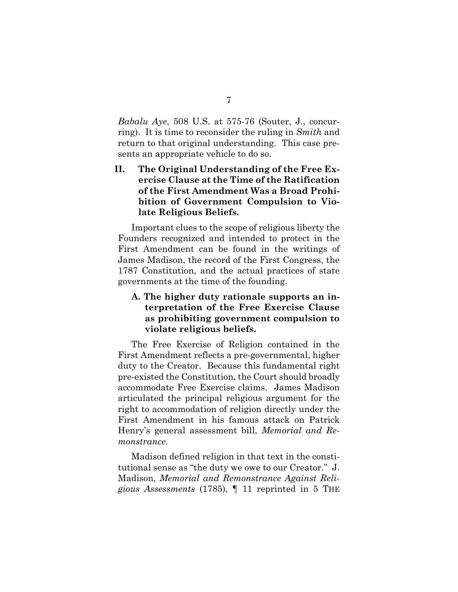*Babalu Aye*, 508 U.S. at 575-76 (Souter, J., concurring). It is time to reconsider the ruling in *Smith* and return to that original understanding. This case presents an appropriate vehicle to do so.

**II. The Original Understanding of the Free Exercise Clause at the Time of the Ratification of the First Amendment Was a Broad Prohibition of Government Compulsion to Violate Religious Beliefs.** 

Important clues to the scope of religious liberty the Founders recognized and intended to protect in the First Amendment can be found in the writings of James Madison, the record of the First Congress, the 1787 Constitution, and the actual practices of state governments at the time of the founding.

## **A. The higher duty rationale supports an interpretation of the Free Exercise Clause as prohibiting government compulsion to violate religious beliefs.**

The Free Exercise of Religion contained in the First Amendment reflects a pre-governmental, higher duty to the Creator. Because this fundamental right pre-existed the Constitution, the Court should broadly accommodate Free Exercise claims. James Madison articulated the principal religious argument for the right to accommodation of religion directly under the First Amendment in his famous attack on Patrick Henry's general assessment bill, *Memorial and Remonstrance*.

Madison defined religion in that text in the constitutional sense as "the duty we owe to our Creator." J. Madison, *Memorial and Remonstrance Against Religious Assessments* (1785), ¶ 11 reprinted in 5 THE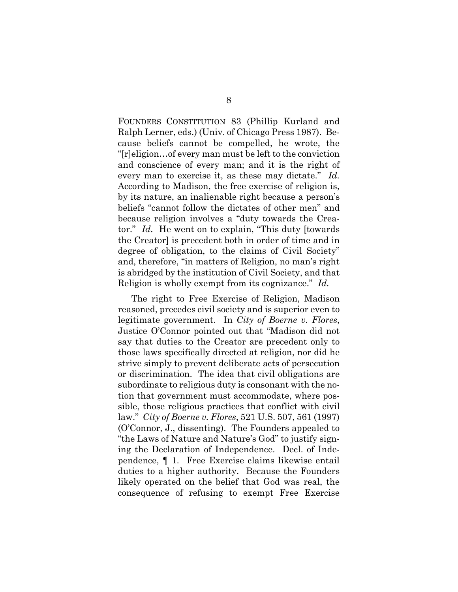FOUNDERS CONSTITUTION 83 (Phillip Kurland and Ralph Lerner, eds.) (Univ. of Chicago Press 1987). Because beliefs cannot be compelled, he wrote, the "[r]eligion…of every man must be left to the conviction and conscience of every man; and it is the right of every man to exercise it, as these may dictate." *Id.* According to Madison, the free exercise of religion is, by its nature, an inalienable right because a person's beliefs "cannot follow the dictates of other men" and because religion involves a "duty towards the Creator." *Id.* He went on to explain, "This duty [towards the Creator] is precedent both in order of time and in degree of obligation, to the claims of Civil Society" and, therefore, "in matters of Religion, no man's right is abridged by the institution of Civil Society, and that Religion is wholly exempt from its cognizance." *Id.*

The right to Free Exercise of Religion, Madison reasoned, precedes civil society and is superior even to legitimate government. In *City of Boerne v. Flores*, Justice O'Connor pointed out that "Madison did not say that duties to the Creator are precedent only to those laws specifically directed at religion, nor did he strive simply to prevent deliberate acts of persecution or discrimination. The idea that civil obligations are subordinate to religious duty is consonant with the notion that government must accommodate, where possible, those religious practices that conflict with civil law." *City of Boerne v. Flores*, 521 U.S. 507, 561 (1997) (O'Connor, J., dissenting). The Founders appealed to "the Laws of Nature and Nature's God" to justify signing the Declaration of Independence. Decl. of Independence, ¶ 1. Free Exercise claims likewise entail duties to a higher authority. Because the Founders likely operated on the belief that God was real, the consequence of refusing to exempt Free Exercise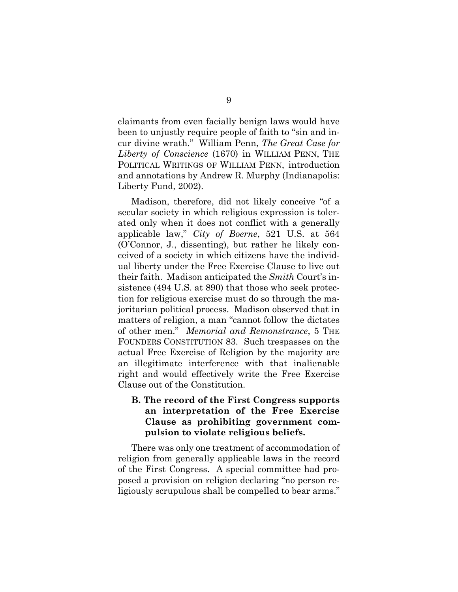claimants from even facially benign laws would have been to unjustly require people of faith to "sin and incur divine wrath." William Penn, *The Great Case for Liberty of Conscience* (1670) in WILLIAM PENN, THE POLITICAL WRITINGS OF WILLIAM PENN, introduction and annotations by Andrew R. Murphy (Indianapolis: Liberty Fund, 2002).

Madison, therefore, did not likely conceive "of a secular society in which religious expression is tolerated only when it does not conflict with a generally applicable law," *City of Boerne*, 521 U.S. at 564 (O'Connor, J., dissenting), but rather he likely conceived of a society in which citizens have the individual liberty under the Free Exercise Clause to live out their faith. Madison anticipated the *Smith* Court's insistence (494 U.S. at 890) that those who seek protection for religious exercise must do so through the majoritarian political process. Madison observed that in matters of religion, a man "cannot follow the dictates of other men." *Memorial and Remonstrance*, 5 THE FOUNDERS CONSTITUTION 83. Such trespasses on the actual Free Exercise of Religion by the majority are an illegitimate interference with that inalienable right and would effectively write the Free Exercise Clause out of the Constitution.

## **B. The record of the First Congress supports an interpretation of the Free Exercise Clause as prohibiting government compulsion to violate religious beliefs.**

There was only one treatment of accommodation of religion from generally applicable laws in the record of the First Congress. A special committee had proposed a provision on religion declaring "no person religiously scrupulous shall be compelled to bear arms."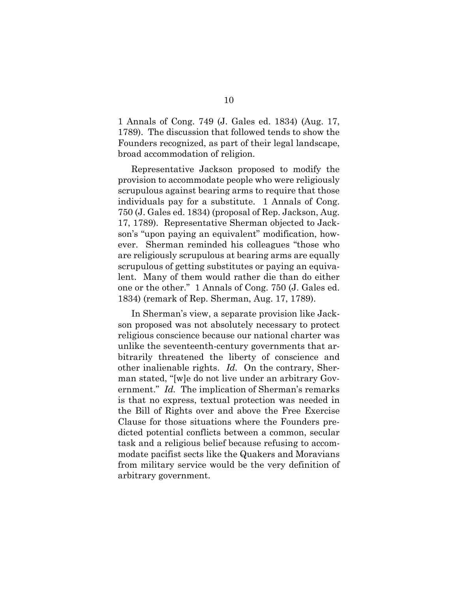1 Annals of Cong. 749 (J. Gales ed. 1834) (Aug. 17, 1789). The discussion that followed tends to show the Founders recognized, as part of their legal landscape, broad accommodation of religion.

Representative Jackson proposed to modify the provision to accommodate people who were religiously scrupulous against bearing arms to require that those individuals pay for a substitute. 1 Annals of Cong. 750 (J. Gales ed. 1834) (proposal of Rep. Jackson, Aug. 17, 1789). Representative Sherman objected to Jackson's "upon paying an equivalent" modification, however. Sherman reminded his colleagues "those who are religiously scrupulous at bearing arms are equally scrupulous of getting substitutes or paying an equivalent. Many of them would rather die than do either one or the other." 1 Annals of Cong. 750 (J. Gales ed. 1834) (remark of Rep. Sherman, Aug. 17, 1789).

In Sherman's view, a separate provision like Jackson proposed was not absolutely necessary to protect religious conscience because our national charter was unlike the seventeenth-century governments that arbitrarily threatened the liberty of conscience and other inalienable rights. *Id.* On the contrary, Sherman stated, "[w]e do not live under an arbitrary Government." *Id.* The implication of Sherman's remarks is that no express, textual protection was needed in the Bill of Rights over and above the Free Exercise Clause for those situations where the Founders predicted potential conflicts between a common, secular task and a religious belief because refusing to accommodate pacifist sects like the Quakers and Moravians from military service would be the very definition of arbitrary government.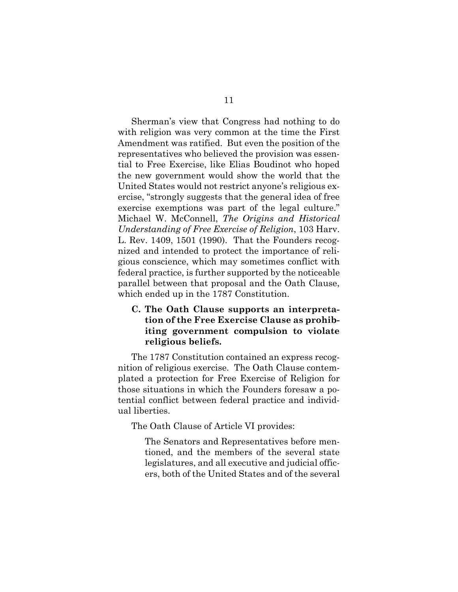Sherman's view that Congress had nothing to do with religion was very common at the time the First Amendment was ratified. But even the position of the representatives who believed the provision was essential to Free Exercise, like Elias Boudinot who hoped the new government would show the world that the United States would not restrict anyone's religious exercise, "strongly suggests that the general idea of free exercise exemptions was part of the legal culture." Michael W. McConnell, *The Origins and Historical Understanding of Free Exercise of Religion*, 103 Harv. L. Rev. 1409, 1501 (1990). That the Founders recognized and intended to protect the importance of religious conscience, which may sometimes conflict with federal practice, is further supported by the noticeable parallel between that proposal and the Oath Clause, which ended up in the 1787 Constitution.

## **C. The Oath Clause supports an interpretation of the Free Exercise Clause as prohibiting government compulsion to violate religious beliefs.**

The 1787 Constitution contained an express recognition of religious exercise. The Oath Clause contemplated a protection for Free Exercise of Religion for those situations in which the Founders foresaw a potential conflict between federal practice and individual liberties.

The Oath Clause of Article VI provides:

The Senators and Representatives before mentioned, and the members of the several state legislatures, and all executive and judicial officers, both of the United States and of the several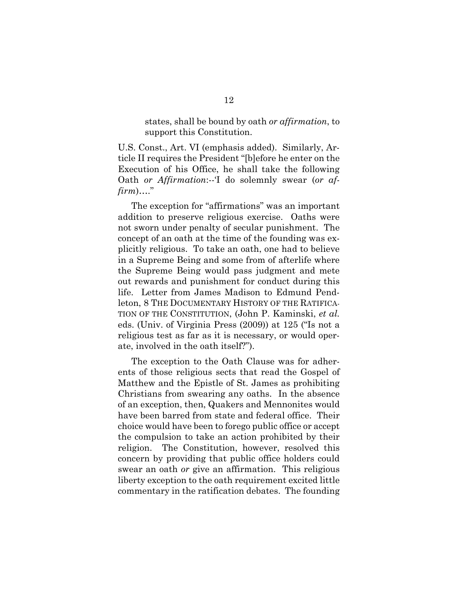states, shall be bound by oath *or affirmation*, to support this Constitution.

U.S. Const., Art. VI (emphasis added). Similarly, Article II requires the President "[b]efore he enter on the Execution of his Office, he shall take the following Oath *or Affirmation*:--'I do solemnly swear (*or affirm*)…."

The exception for "affirmations" was an important addition to preserve religious exercise. Oaths were not sworn under penalty of secular punishment. The concept of an oath at the time of the founding was explicitly religious. To take an oath, one had to believe in a Supreme Being and some from of afterlife where the Supreme Being would pass judgment and mete out rewards and punishment for conduct during this life. Letter from James Madison to Edmund Pendleton, 8 THE DOCUMENTARY HISTORY OF THE RATIFICA-TION OF THE CONSTITUTION, (John P. Kaminski, *et al.* eds. (Univ. of Virginia Press (2009)) at 125 ("Is not a religious test as far as it is necessary, or would operate, involved in the oath itself?").

The exception to the Oath Clause was for adherents of those religious sects that read the Gospel of Matthew and the Epistle of St. James as prohibiting Christians from swearing any oaths. In the absence of an exception, then, Quakers and Mennonites would have been barred from state and federal office. Their choice would have been to forego public office or accept the compulsion to take an action prohibited by their religion. The Constitution, however, resolved this concern by providing that public office holders could swear an oath *or* give an affirmation. This religious liberty exception to the oath requirement excited little commentary in the ratification debates. The founding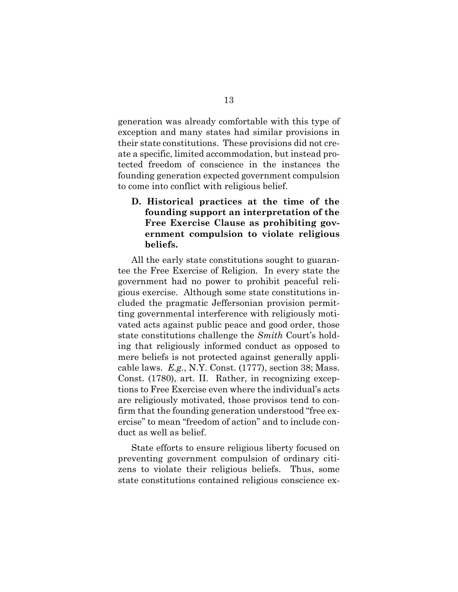generation was already comfortable with this type of exception and many states had similar provisions in their state constitutions. These provisions did not create a specific, limited accommodation, but instead protected freedom of conscience in the instances the founding generation expected government compulsion to come into conflict with religious belief.

**D. Historical practices at the time of the founding support an interpretation of the Free Exercise Clause as prohibiting government compulsion to violate religious beliefs.** 

All the early state constitutions sought to guarantee the Free Exercise of Religion. In every state the government had no power to prohibit peaceful religious exercise. Although some state constitutions included the pragmatic Jeffersonian provision permitting governmental interference with religiously motivated acts against public peace and good order, those state constitutions challenge the *Smith* Court's holding that religiously informed conduct as opposed to mere beliefs is not protected against generally applicable laws. *E.g.*, N.Y. Const. (1777), section 38; Mass. Const. (1780), art. II. Rather, in recognizing exceptions to Free Exercise even where the individual's acts are religiously motivated, those provisos tend to confirm that the founding generation understood "free exercise" to mean "freedom of action" and to include conduct as well as belief.

State efforts to ensure religious liberty focused on preventing government compulsion of ordinary citizens to violate their religious beliefs. Thus, some state constitutions contained religious conscience ex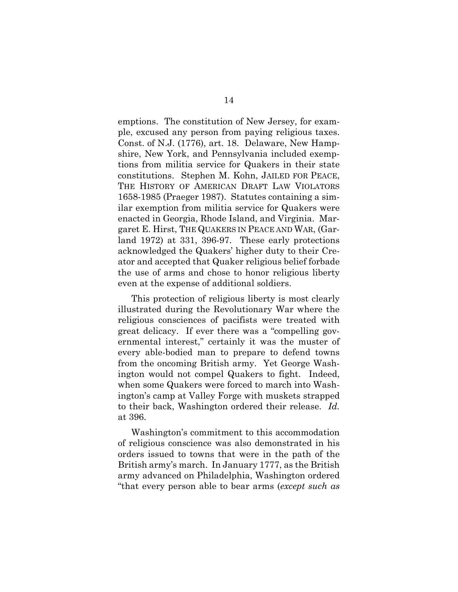emptions. The constitution of New Jersey, for example, excused any person from paying religious taxes. Const. of N.J. (1776), art. 18. Delaware, New Hampshire, New York, and Pennsylvania included exemptions from militia service for Quakers in their state constitutions. Stephen M. Kohn, JAILED FOR PEACE, THE HISTORY OF AMERICAN DRAFT LAW VIOLATORS 1658-1985 (Praeger 1987). Statutes containing a similar exemption from militia service for Quakers were enacted in Georgia, Rhode Island, and Virginia. Margaret E. Hirst, THE QUAKERS IN PEACE AND WAR, (Garland 1972) at 331, 396-97. These early protections acknowledged the Quakers' higher duty to their Creator and accepted that Quaker religious belief forbade the use of arms and chose to honor religious liberty even at the expense of additional soldiers.

This protection of religious liberty is most clearly illustrated during the Revolutionary War where the religious consciences of pacifists were treated with great delicacy. If ever there was a "compelling governmental interest," certainly it was the muster of every able-bodied man to prepare to defend towns from the oncoming British army. Yet George Washington would not compel Quakers to fight. Indeed, when some Quakers were forced to march into Washington's camp at Valley Forge with muskets strapped to their back, Washington ordered their release. *Id.* at 396.

Washington's commitment to this accommodation of religious conscience was also demonstrated in his orders issued to towns that were in the path of the British army's march. In January 1777, as the British army advanced on Philadelphia, Washington ordered "that every person able to bear arms (*except such as*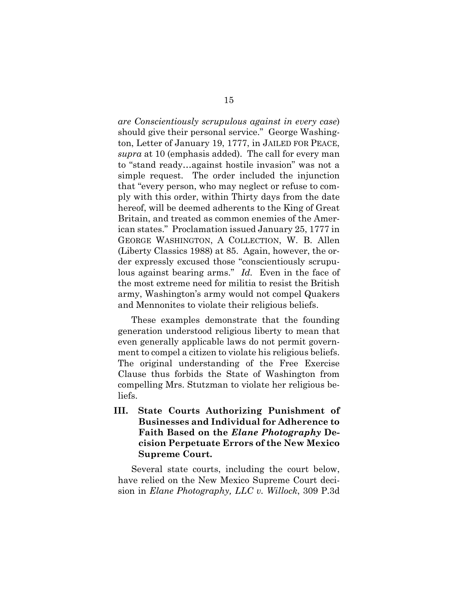*are Conscientiously scrupulous against in every case*) should give their personal service." George Washington, Letter of January 19, 1777, in JAILED FOR PEACE, *supra* at 10 (emphasis added). The call for every man to "stand ready…against hostile invasion" was not a simple request. The order included the injunction that "every person, who may neglect or refuse to comply with this order, within Thirty days from the date hereof, will be deemed adherents to the King of Great Britain, and treated as common enemies of the American states." Proclamation issued January 25, 1777 in GEORGE WASHINGTON, A COLLECTION, W. B. Allen (Liberty Classics 1988) at 85. Again, however, the order expressly excused those "conscientiously scrupulous against bearing arms." *Id.* Even in the face of the most extreme need for militia to resist the British army, Washington's army would not compel Quakers and Mennonites to violate their religious beliefs.

These examples demonstrate that the founding generation understood religious liberty to mean that even generally applicable laws do not permit government to compel a citizen to violate his religious beliefs. The original understanding of the Free Exercise Clause thus forbids the State of Washington from compelling Mrs. Stutzman to violate her religious beliefs.

**III. State Courts Authorizing Punishment of Businesses and Individual for Adherence to Faith Based on the** *Elane Photography* **Decision Perpetuate Errors of the New Mexico Supreme Court.** 

Several state courts, including the court below, have relied on the New Mexico Supreme Court decision in *Elane Photography, LLC v. Willock*, 309 P.3d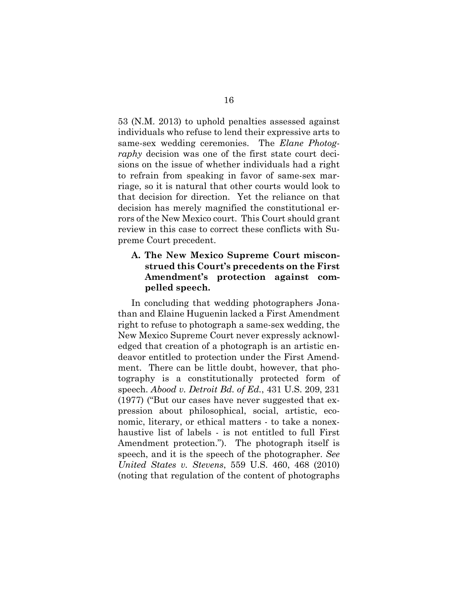53 (N.M. 2013) to uphold penalties assessed against individuals who refuse to lend their expressive arts to same-sex wedding ceremonies. The *Elane Photography* decision was one of the first state court decisions on the issue of whether individuals had a right to refrain from speaking in favor of same-sex marriage, so it is natural that other courts would look to that decision for direction. Yet the reliance on that decision has merely magnified the constitutional errors of the New Mexico court. This Court should grant review in this case to correct these conflicts with Supreme Court precedent.

## **A. The New Mexico Supreme Court misconstrued this Court's precedents on the First Amendment's protection against compelled speech.**

In concluding that wedding photographers Jonathan and Elaine Huguenin lacked a First Amendment right to refuse to photograph a same-sex wedding, the New Mexico Supreme Court never expressly acknowledged that creation of a photograph is an artistic endeavor entitled to protection under the First Amendment. There can be little doubt, however, that photography is a constitutionally protected form of speech. *Abood v. Detroit Bd. of Ed.*, 431 U.S. 209, 231 (1977) ("But our cases have never suggested that expression about philosophical, social, artistic, economic, literary, or ethical matters - to take a nonexhaustive list of labels - is not entitled to full First Amendment protection."). The photograph itself is speech, and it is the speech of the photographer. *See United States v. Stevens*, 559 U.S. 460, 468 (2010) (noting that regulation of the content of photographs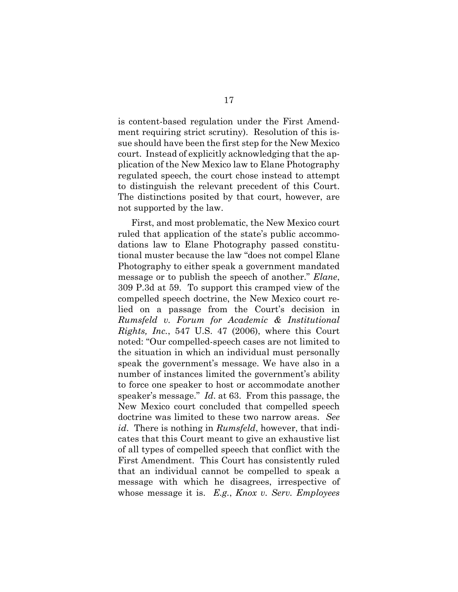is content-based regulation under the First Amendment requiring strict scrutiny). Resolution of this issue should have been the first step for the New Mexico court. Instead of explicitly acknowledging that the application of the New Mexico law to Elane Photography regulated speech, the court chose instead to attempt to distinguish the relevant precedent of this Court. The distinctions posited by that court, however, are not supported by the law.

First, and most problematic, the New Mexico court ruled that application of the state's public accommodations law to Elane Photography passed constitutional muster because the law "does not compel Elane Photography to either speak a government mandated message or to publish the speech of another." *Elane*, 309 P.3d at 59. To support this cramped view of the compelled speech doctrine, the New Mexico court relied on a passage from the Court's decision in *Rumsfeld v. Forum for Academic & Institutional Rights, Inc.*, 547 U.S. 47 (2006), where this Court noted: "Our compelled-speech cases are not limited to the situation in which an individual must personally speak the government's message. We have also in a number of instances limited the government's ability to force one speaker to host or accommodate another speaker's message." *Id*. at 63. From this passage, the New Mexico court concluded that compelled speech doctrine was limited to these two narrow areas. *See id*. There is nothing in *Rumsfeld*, however, that indicates that this Court meant to give an exhaustive list of all types of compelled speech that conflict with the First Amendment. This Court has consistently ruled that an individual cannot be compelled to speak a message with which he disagrees, irrespective of whose message it is. *E.g.*, *Knox v. Serv. Employees*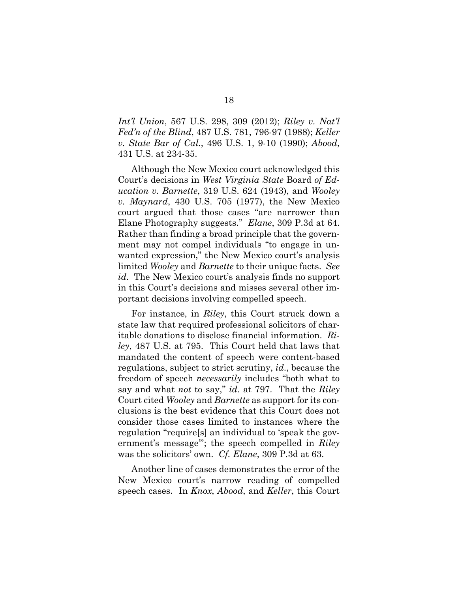*Int'l Union*, 567 U.S. 298, 309 (2012); *Riley v. Nat'l Fed'n of the Blind*, 487 U.S. 781, 796-97 (1988); *Keller v. State Bar of Cal.*, 496 U.S. 1, 9-10 (1990); *Abood*, 431 U.S. at 234-35.

Although the New Mexico court acknowledged this Court's decisions in *West Virginia State* Board *of Education v. Barnette*, 319 U.S. 624 (1943), and *Wooley v. Maynard*, 430 U.S. 705 (1977), the New Mexico court argued that those cases "are narrower than Elane Photography suggests." *Elane*, 309 P.3d at 64. Rather than finding a broad principle that the government may not compel individuals "to engage in unwanted expression," the New Mexico court's analysis limited *Wooley* and *Barnette* to their unique facts. *See id*. The New Mexico court's analysis finds no support in this Court's decisions and misses several other important decisions involving compelled speech.

For instance, in *Riley*, this Court struck down a state law that required professional solicitors of charitable donations to disclose financial information. *Riley*, 487 U.S. at 795. This Court held that laws that mandated the content of speech were content-based regulations, subject to strict scrutiny, *id*., because the freedom of speech *necessarily* includes "both what to say and what *not* to say," *id.* at 797. That the *Riley*  Court cited *Wooley* and *Barnette* as support for its conclusions is the best evidence that this Court does not consider those cases limited to instances where the regulation "require[s] an individual to 'speak the government's message'"; the speech compelled in *Riley* was the solicitors' own. *Cf. Elane*, 309 P.3d at 63.

Another line of cases demonstrates the error of the New Mexico court's narrow reading of compelled speech cases. In *Knox*, *Abood*, and *Keller*, this Court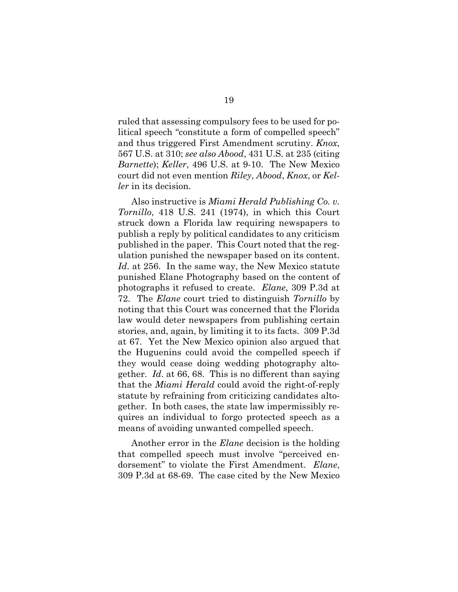ruled that assessing compulsory fees to be used for political speech "constitute a form of compelled speech" and thus triggered First Amendment scrutiny. *Knox*, 567 U.S. at 310; *see also Abood*, 431 U.S. at 235 (citing *Barnette*); *Keller*, 496 U.S. at 9-10. The New Mexico court did not even mention *Riley*, *Abood*, *Knox*, or *Keller* in its decision.

Also instructive is *Miami Herald Publishing Co. v. Tornillo*, 418 U.S. 241 (1974), in which this Court struck down a Florida law requiring newspapers to publish a reply by political candidates to any criticism published in the paper. This Court noted that the regulation punished the newspaper based on its content. *Id*. at 256. In the same way, the New Mexico statute punished Elane Photography based on the content of photographs it refused to create. *Elane*, 309 P.3d at 72. The *Elane* court tried to distinguish *Tornillo* by noting that this Court was concerned that the Florida law would deter newspapers from publishing certain stories, and, again, by limiting it to its facts. 309 P.3d at 67. Yet the New Mexico opinion also argued that the Huguenins could avoid the compelled speech if they would cease doing wedding photography altogether. *Id*. at 66, 68. This is no different than saying that the *Miami Herald* could avoid the right-of-reply statute by refraining from criticizing candidates altogether. In both cases, the state law impermissibly requires an individual to forgo protected speech as a means of avoiding unwanted compelled speech.

Another error in the *Elane* decision is the holding that compelled speech must involve "perceived endorsement" to violate the First Amendment. *Elane*, 309 P.3d at 68-69. The case cited by the New Mexico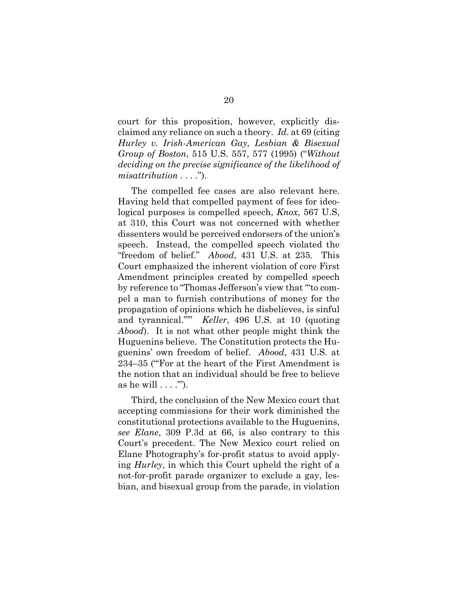court for this proposition, however, explicitly disclaimed any reliance on such a theory. *Id*. at 69 (citing *Hurley v. Irish-American Gay, Lesbian & Bisexual Group of Boston*, 515 U.S. 557, 577 (1995) ("*Without deciding on the precise significance of the likelihood of misattribution . . . .*").

The compelled fee cases are also relevant here. Having held that compelled payment of fees for ideological purposes is compelled speech, *Knox*, 567 U.S, at 310, this Court was not concerned with whether dissenters would be perceived endorsers of the union's speech. Instead, the compelled speech violated the "freedom of belief." *Abood*, 431 U.S. at 235. This Court emphasized the inherent violation of core First Amendment principles created by compelled speech by reference to "Thomas Jefferson's view that '"to compel a man to furnish contributions of money for the propagation of opinions which he disbelieves, is sinful and tyrannical."'" *Keller*, 496 U.S. at 10 (quoting *Abood*). It is not what other people might think the Huguenins believe. The Constitution protects the Huguenins' own freedom of belief. *Abood*, 431 U.S. at 234–35 ("'For at the heart of the First Amendment is the notion that an individual should be free to believe as he will  $\dots$ .").

Third, the conclusion of the New Mexico court that accepting commissions for their work diminished the constitutional protections available to the Huguenins, *see Elane*, 309 P.3d at 66, is also contrary to this Court's precedent. The New Mexico court relied on Elane Photography's for-profit status to avoid applying *Hurley*, in which this Court upheld the right of a not-for-profit parade organizer to exclude a gay, lesbian, and bisexual group from the parade, in violation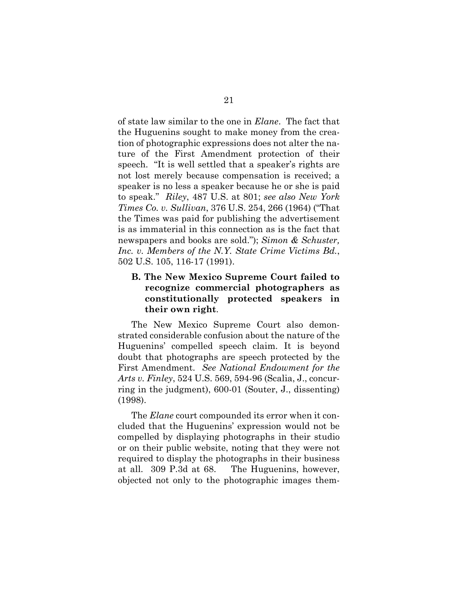of state law similar to the one in *Elane*. The fact that the Huguenins sought to make money from the creation of photographic expressions does not alter the nature of the First Amendment protection of their speech. "It is well settled that a speaker's rights are not lost merely because compensation is received; a speaker is no less a speaker because he or she is paid to speak." *Riley*, 487 U.S. at 801; *see also New York Times Co. v. Sullivan*, 376 U.S. 254, 266 (1964) ("That the Times was paid for publishing the advertisement is as immaterial in this connection as is the fact that newspapers and books are sold."); *Simon & Schuster, Inc. v. Members of the N.Y. State Crime Victims Bd.*, 502 U.S. 105, 116-17 (1991).

## **B. The New Mexico Supreme Court failed to recognize commercial photographers as constitutionally protected speakers in their own right**.

The New Mexico Supreme Court also demonstrated considerable confusion about the nature of the Huguenins' compelled speech claim. It is beyond doubt that photographs are speech protected by the First Amendment. *See National Endowment for the Arts v. Finley*, 524 U.S. 569, 594-96 (Scalia, J., concurring in the judgment), 600-01 (Souter, J., dissenting) (1998).

The *Elane* court compounded its error when it concluded that the Huguenins' expression would not be compelled by displaying photographs in their studio or on their public website, noting that they were not required to display the photographs in their business at all. 309 P.3d at 68. The Huguenins, however, objected not only to the photographic images them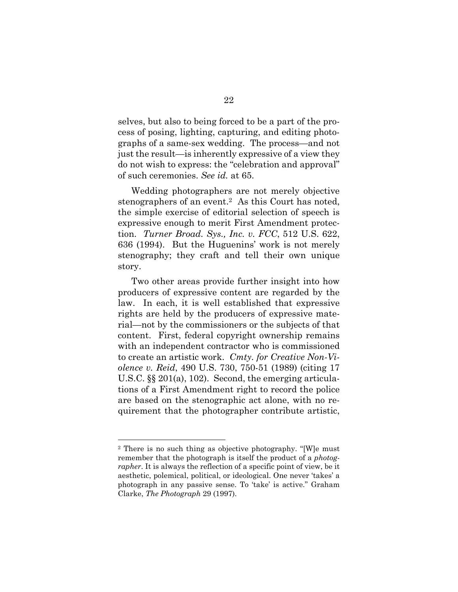selves, but also to being forced to be a part of the process of posing, lighting, capturing, and editing photographs of a same-sex wedding. The process—and not just the result—is inherently expressive of a view they do not wish to express: the "celebration and approval" of such ceremonies. *See id.* at 65.

Wedding photographers are not merely objective stenographers of an event.2 As this Court has noted, the simple exercise of editorial selection of speech is expressive enough to merit First Amendment protection. *Turner Broad. Sys., Inc. v. FCC*, 512 U.S. 622, 636 (1994). But the Huguenins' work is not merely stenography; they craft and tell their own unique story.

Two other areas provide further insight into how producers of expressive content are regarded by the law. In each, it is well established that expressive rights are held by the producers of expressive material—not by the commissioners or the subjects of that content. First, federal copyright ownership remains with an independent contractor who is commissioned to create an artistic work. *Cmty. for Creative Non-Violence v. Reid*, 490 U.S. 730, 750-51 (1989) (citing 17 U.S.C. §§ 201(a), 102). Second, the emerging articulations of a First Amendment right to record the police are based on the stenographic act alone, with no requirement that the photographer contribute artistic,

 $\overline{a}$ 

<sup>2</sup> There is no such thing as objective photography. "[W]e must remember that the photograph is itself the product of a *photographer*. It is always the reflection of a specific point of view, be it aesthetic, polemical, political, or ideological. One never 'takes' a photograph in any passive sense. To 'take' is active." Graham Clarke, *The Photograph* 29 (1997).